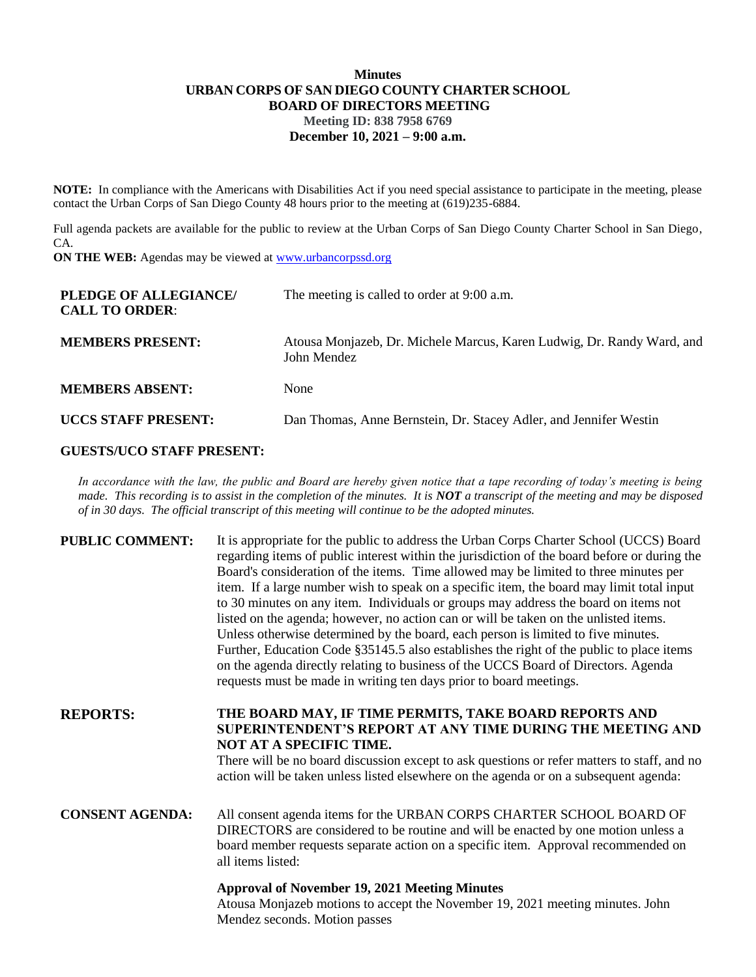## **Minutes URBAN CORPS OF SAN DIEGO COUNTY CHARTER SCHOOL BOARD OF DIRECTORS MEETING Meeting ID: 838 7958 6769 December 10, 2021 – 9:00 a.m.**

**NOTE:** In compliance with the Americans with Disabilities Act if you need special assistance to participate in the meeting, please contact the Urban Corps of San Diego County 48 hours prior to the meeting at (619)235-6884.

Full agenda packets are available for the public to review at the Urban Corps of San Diego County Charter School in San Diego, CA.

**ON THE WEB:** Agendas may be viewed at **www.urbancorpssd.org** 

| PLEDGE OF ALLEGIANCE/<br><b>CALL TO ORDER:</b> | The meeting is called to order at 9:00 a.m.                                           |
|------------------------------------------------|---------------------------------------------------------------------------------------|
| <b>MEMBERS PRESENT:</b>                        | Atousa Monjazeb, Dr. Michele Marcus, Karen Ludwig, Dr. Randy Ward, and<br>John Mendez |
| <b>MEMBERS ABSENT:</b>                         | None                                                                                  |
| <b>UCCS STAFF PRESENT:</b>                     | Dan Thomas, Anne Bernstein, Dr. Stacey Adler, and Jennifer Westin                     |

# **GUESTS/UCO STAFF PRESENT:**

*In accordance with the law, the public and Board are hereby given notice that a tape recording of today's meeting is being made. This recording is to assist in the completion of the minutes. It is NOT a transcript of the meeting and may be disposed of in 30 days. The official transcript of this meeting will continue to be the adopted minutes.*

| <b>PUBLIC COMMENT:</b> | It is appropriate for the public to address the Urban Corps Charter School (UCCS) Board<br>regarding items of public interest within the jurisdiction of the board before or during the<br>Board's consideration of the items. Time allowed may be limited to three minutes per<br>item. If a large number wish to speak on a specific item, the board may limit total input<br>to 30 minutes on any item. Individuals or groups may address the board on items not<br>listed on the agenda; however, no action can or will be taken on the unlisted items.<br>Unless otherwise determined by the board, each person is limited to five minutes.<br>Further, Education Code §35145.5 also establishes the right of the public to place items<br>on the agenda directly relating to business of the UCCS Board of Directors. Agenda<br>requests must be made in writing ten days prior to board meetings. |
|------------------------|----------------------------------------------------------------------------------------------------------------------------------------------------------------------------------------------------------------------------------------------------------------------------------------------------------------------------------------------------------------------------------------------------------------------------------------------------------------------------------------------------------------------------------------------------------------------------------------------------------------------------------------------------------------------------------------------------------------------------------------------------------------------------------------------------------------------------------------------------------------------------------------------------------|
| <b>REPORTS:</b>        | THE BOARD MAY, IF TIME PERMITS, TAKE BOARD REPORTS AND<br>SUPERINTENDENT'S REPORT AT ANY TIME DURING THE MEETING AND<br>NOT AT A SPECIFIC TIME.<br>There will be no board discussion except to ask questions or refer matters to staff, and no<br>action will be taken unless listed elsewhere on the agenda or on a subsequent agenda:                                                                                                                                                                                                                                                                                                                                                                                                                                                                                                                                                                  |
| <b>CONSENT AGENDA:</b> | All consent agenda items for the URBAN CORPS CHARTER SCHOOL BOARD OF<br>DIRECTORS are considered to be routine and will be enacted by one motion unless a<br>board member requests separate action on a specific item. Approval recommended on<br>all items listed:                                                                                                                                                                                                                                                                                                                                                                                                                                                                                                                                                                                                                                      |
|                        | <b>Approval of November 19, 2021 Meeting Minutes</b><br>Atousa Moniazeb motions to accent the November 19, 2021 meeting minutes. John                                                                                                                                                                                                                                                                                                                                                                                                                                                                                                                                                                                                                                                                                                                                                                    |

Atousa Monjazeb motions to accept the November 19, 2021 meeting minutes. John Mendez seconds. Motion passes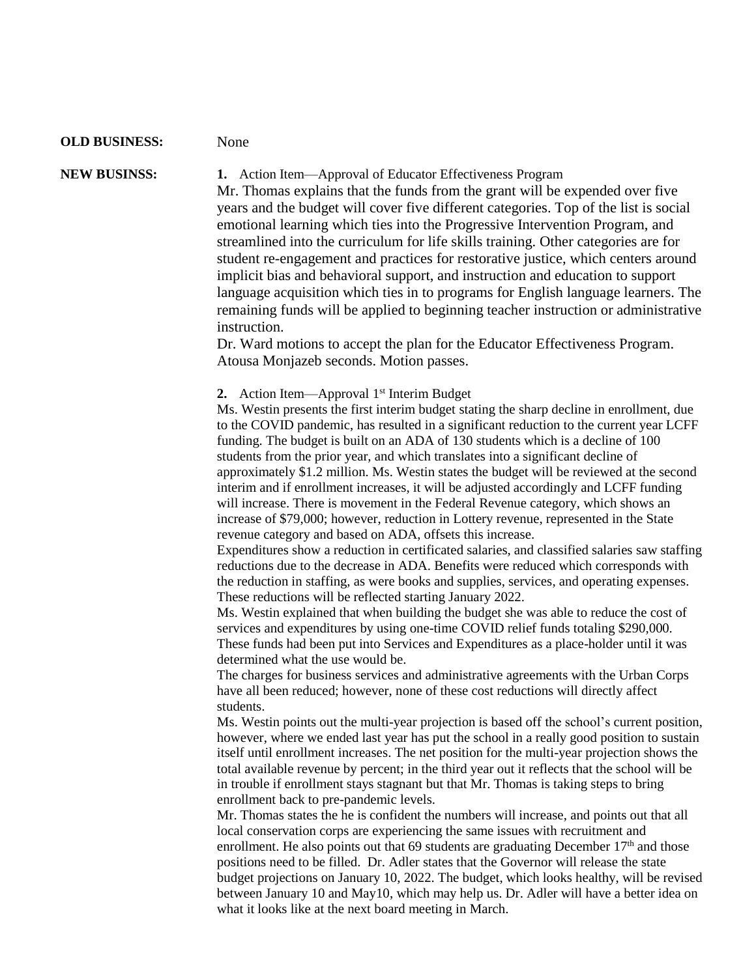### **OLD BUSINESS:** None

**NEW BUSINSS: 1.** Action Item—Approval of Educator Effectiveness Program Mr. Thomas explains that the funds from the grant will be expended over five years and the budget will cover five different categories. Top of the list is social emotional learning which ties into the Progressive Intervention Program, and streamlined into the curriculum for life skills training. Other categories are for student re-engagement and practices for restorative justice, which centers around implicit bias and behavioral support, and instruction and education to support language acquisition which ties in to programs for English language learners. The remaining funds will be applied to beginning teacher instruction or administrative instruction.

> Dr. Ward motions to accept the plan for the Educator Effectiveness Program. Atousa Monjazeb seconds. Motion passes.

**2.** Action Item—Approval 1<sup>st</sup> Interim Budget

Ms. Westin presents the first interim budget stating the sharp decline in enrollment, due to the COVID pandemic, has resulted in a significant reduction to the current year LCFF funding. The budget is built on an ADA of 130 students which is a decline of 100 students from the prior year, and which translates into a significant decline of approximately \$1.2 million. Ms. Westin states the budget will be reviewed at the second interim and if enrollment increases, it will be adjusted accordingly and LCFF funding will increase. There is movement in the Federal Revenue category, which shows an increase of \$79,000; however, reduction in Lottery revenue, represented in the State revenue category and based on ADA, offsets this increase.

Expenditures show a reduction in certificated salaries, and classified salaries saw staffing reductions due to the decrease in ADA. Benefits were reduced which corresponds with the reduction in staffing, as were books and supplies, services, and operating expenses. These reductions will be reflected starting January 2022.

Ms. Westin explained that when building the budget she was able to reduce the cost of services and expenditures by using one-time COVID relief funds totaling \$290,000. These funds had been put into Services and Expenditures as a place-holder until it was determined what the use would be.

The charges for business services and administrative agreements with the Urban Corps have all been reduced; however, none of these cost reductions will directly affect students.

Ms. Westin points out the multi-year projection is based off the school's current position, however, where we ended last year has put the school in a really good position to sustain itself until enrollment increases. The net position for the multi-year projection shows the total available revenue by percent; in the third year out it reflects that the school will be in trouble if enrollment stays stagnant but that Mr. Thomas is taking steps to bring enrollment back to pre-pandemic levels.

Mr. Thomas states the he is confident the numbers will increase, and points out that all local conservation corps are experiencing the same issues with recruitment and enrollment. He also points out that 69 students are graduating December  $17<sup>th</sup>$  and those positions need to be filled. Dr. Adler states that the Governor will release the state budget projections on January 10, 2022. The budget, which looks healthy, will be revised between January 10 and May10, which may help us. Dr. Adler will have a better idea on what it looks like at the next board meeting in March.